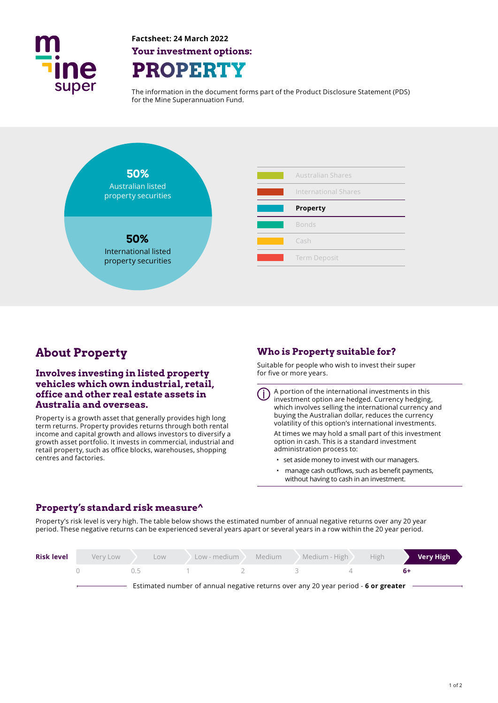

**Factsheet: 24 March 2022 Your investment options: ROPERT** 

The information in the document forms part of the Product Disclosure Statement (PDS) for the Mine Superannuation Fund.



# **About Property**

# **Involves investing in listed property vehicles which own industrial, retail, office and other real estate assets in Australia and overseas.**

Property is a growth asset that generally provides high long term returns. Property provides returns through both rental income and capital growth and allows investors to diversify a growth asset portfolio. It invests in commercial, industrial and retail property, such as office blocks, warehouses, shopping centres and factories.

# **Who is Property suitable for?**

administration process to:

Suitable for people who wish to invest their super for five or more years.

A portion of the international investments in this investment option are hedged. Currency hedging, which involves selling the international currency and buying the Australian dollar, reduces the currency volatility of this option's international investments. At times we may hold a small part of this investment option in cash. This is a standard investment

- set aside money to invest with our managers.
- manage cash outflows, such as benefit payments, without having to cash in an investment.

# **Property's standard risk measure^**

Property's risk level is very high. The table below shows the estimated number of annual negative returns over any 20 year period. These negative returns can be experienced several years apart or several years in a row within the 20 year period.